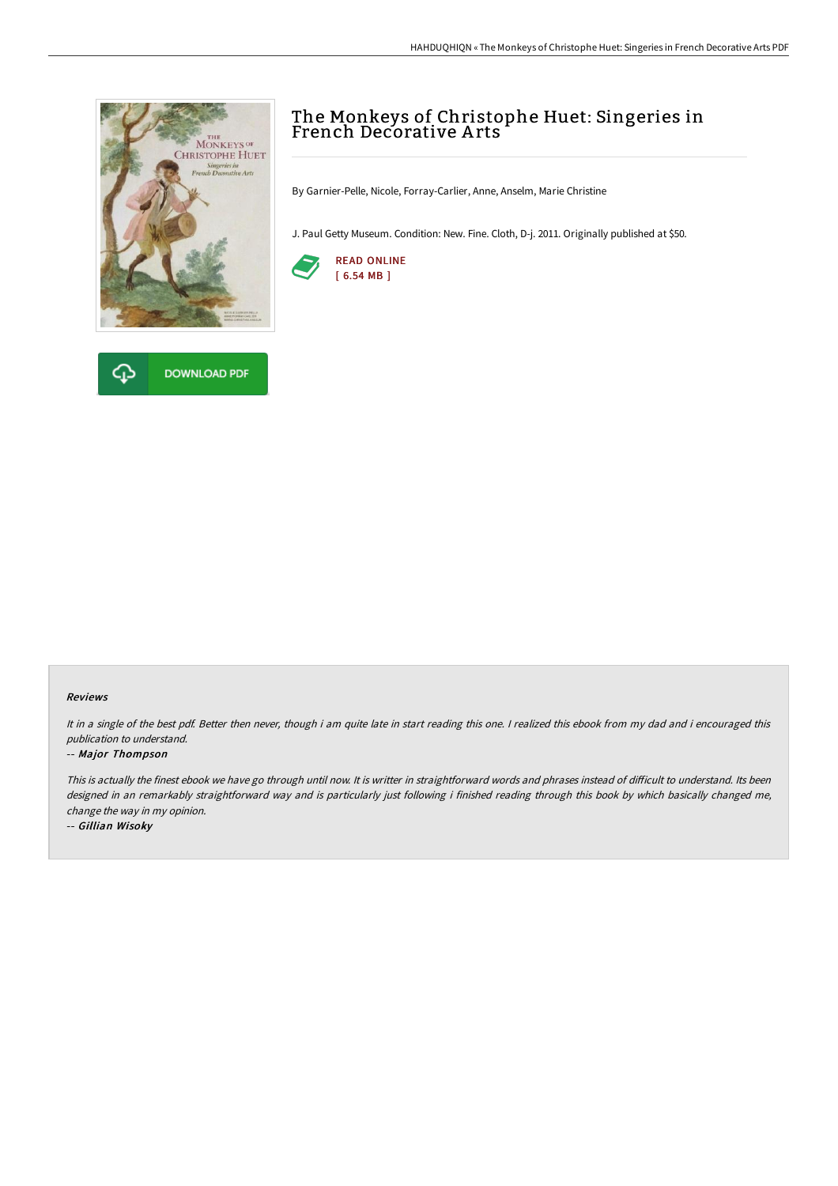



# The Monkeys of Christophe Huet: Singeries in French Decorative A rts

By Garnier-Pelle, Nicole, Forray-Carlier, Anne, Anselm, Marie Christine

J. Paul Getty Museum. Condition: New. Fine. Cloth, D-j. 2011. Originally published at \$50.



#### Reviews

It in <sup>a</sup> single of the best pdf. Better then never, though i am quite late in start reading this one. <sup>I</sup> realized this ebook from my dad and i encouraged this publication to understand.

#### -- Major Thompson

This is actually the finest ebook we have go through until now. It is writter in straightforward words and phrases instead of difficult to understand. Its been designed in an remarkably straightforward way and is particularly just following i finished reading through this book by which basically changed me, change the way in my opinion.

-- Gillian Wisoky